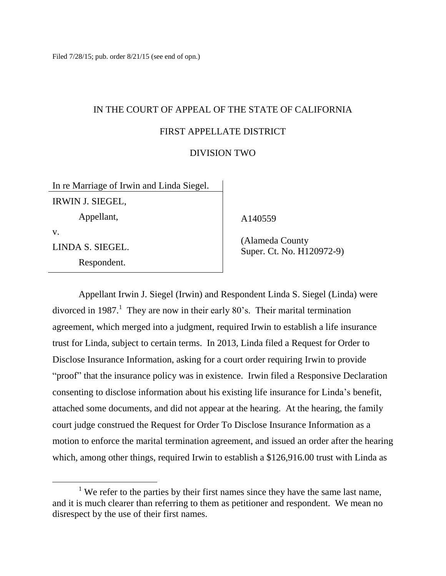# IN THE COURT OF APPEAL OF THE STATE OF CALIFORNIA FIRST APPELLATE DISTRICT

#### DIVISION TWO

In re Marriage of Irwin and Linda Siegel. IRWIN J. SIEGEL, Appellant, v. LINDA S. SIEGEL. Respondent.

A140559

 (Alameda County Super. Ct. No. H120972-9)

Appellant Irwin J. Siegel (Irwin) and Respondent Linda S. Siegel (Linda) were divorced in 1987.<sup>1</sup> They are now in their early 80's. Their marital termination agreement, which merged into a judgment, required Irwin to establish a life insurance trust for Linda, subject to certain terms. In 2013, Linda filed a Request for Order to Disclose Insurance Information, asking for a court order requiring Irwin to provide "proof" that the insurance policy was in existence. Irwin filed a Responsive Declaration consenting to disclose information about his existing life insurance for Linda's benefit, attached some documents, and did not appear at the hearing. At the hearing, the family court judge construed the Request for Order To Disclose Insurance Information as a motion to enforce the marital termination agreement, and issued an order after the hearing which, among other things, required Irwin to establish a \$126,916.00 trust with Linda as

<sup>&</sup>lt;sup>1</sup> We refer to the parties by their first names since they have the same last name, and it is much clearer than referring to them as petitioner and respondent. We mean no disrespect by the use of their first names.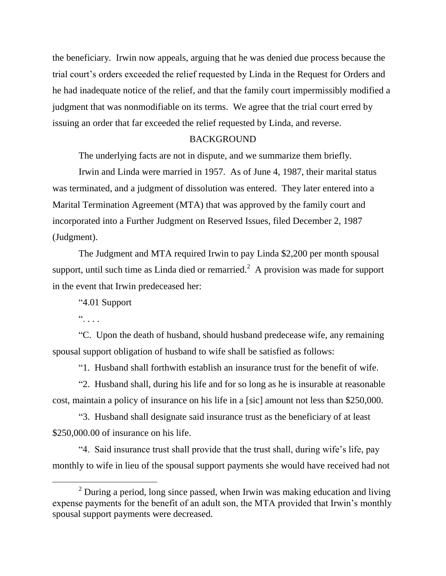the beneficiary. Irwin now appeals, arguing that he was denied due process because the trial court's orders exceeded the relief requested by Linda in the Request for Orders and he had inadequate notice of the relief, and that the family court impermissibly modified a judgment that was nonmodifiable on its terms. We agree that the trial court erred by issuing an order that far exceeded the relief requested by Linda, and reverse.

#### BACKGROUND

The underlying facts are not in dispute, and we summarize them briefly.

Irwin and Linda were married in 1957. As of June 4, 1987, their marital status was terminated, and a judgment of dissolution was entered. They later entered into a Marital Termination Agreement (MTA) that was approved by the family court and incorporated into a Further Judgment on Reserved Issues, filed December 2, 1987 (Judgment).

The Judgment and MTA required Irwin to pay Linda \$2,200 per month spousal support, until such time as Linda died or remarried.<sup>2</sup> A provision was made for support in the event that Irwin predeceased her:

"4.01 Support

 $\ddot{\phantom{a}}$  . . .

"C. Upon the death of husband, should husband predecease wife, any remaining spousal support obligation of husband to wife shall be satisfied as follows:

"1. Husband shall forthwith establish an insurance trust for the benefit of wife.

"2. Husband shall, during his life and for so long as he is insurable at reasonable cost, maintain a policy of insurance on his life in a [sic] amount not less than \$250,000.

"3. Husband shall designate said insurance trust as the beneficiary of at least \$250,000,00 of insurance on his life.

"4. Said insurance trust shall provide that the trust shall, during wife's life, pay monthly to wife in lieu of the spousal support payments she would have received had not

 $2$  During a period, long since passed, when Irwin was making education and living expense payments for the benefit of an adult son, the MTA provided that Irwin's monthly spousal support payments were decreased.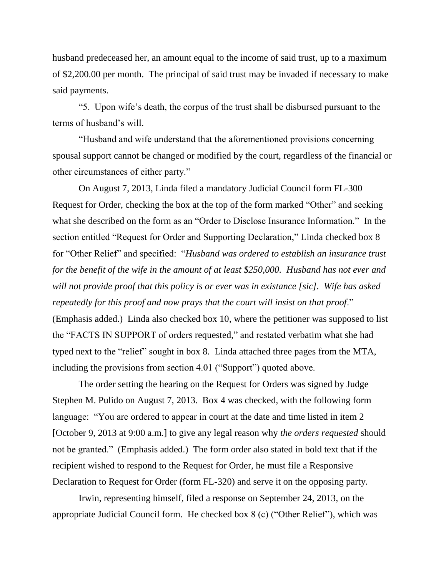husband predeceased her, an amount equal to the income of said trust, up to a maximum of \$2,200.00 per month. The principal of said trust may be invaded if necessary to make said payments.

"5. Upon wife's death, the corpus of the trust shall be disbursed pursuant to the terms of husband's will.

"Husband and wife understand that the aforementioned provisions concerning spousal support cannot be changed or modified by the court, regardless of the financial or other circumstances of either party."

On August 7, 2013, Linda filed a mandatory Judicial Council form FL-300 Request for Order, checking the box at the top of the form marked "Other" and seeking what she described on the form as an "Order to Disclose Insurance Information." In the section entitled "Request for Order and Supporting Declaration," Linda checked box 8 for "Other Relief" and specified: "*Husband was ordered to establish an insurance trust for the benefit of the wife in the amount of at least \$250,000. Husband has not ever and will not provide proof that this policy is or ever was in existance [sic]. Wife has asked repeatedly for this proof and now prays that the court will insist on that proof*." (Emphasis added.) Linda also checked box 10, where the petitioner was supposed to list the "FACTS IN SUPPORT of orders requested," and restated verbatim what she had typed next to the "relief" sought in box 8. Linda attached three pages from the MTA, including the provisions from section 4.01 ("Support") quoted above.

The order setting the hearing on the Request for Orders was signed by Judge Stephen M. Pulido on August 7, 2013. Box 4 was checked, with the following form language: "You are ordered to appear in court at the date and time listed in item 2 [October 9, 2013 at 9:00 a.m.] to give any legal reason why *the orders requested* should not be granted." (Emphasis added.) The form order also stated in bold text that if the recipient wished to respond to the Request for Order, he must file a Responsive Declaration to Request for Order (form FL-320) and serve it on the opposing party.

Irwin, representing himself, filed a response on September 24, 2013, on the appropriate Judicial Council form. He checked box 8 (c) ("Other Relief"), which was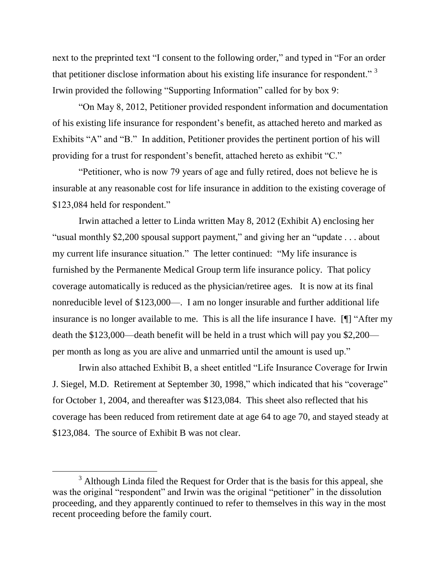next to the preprinted text "I consent to the following order," and typed in "For an order that petitioner disclose information about his existing life insurance for respondent."  $3$ Irwin provided the following "Supporting Information" called for by box 9:

"On May 8, 2012, Petitioner provided respondent information and documentation of his existing life insurance for respondent's benefit, as attached hereto and marked as Exhibits "A" and "B." In addition, Petitioner provides the pertinent portion of his will providing for a trust for respondent's benefit, attached hereto as exhibit "C."

"Petitioner, who is now 79 years of age and fully retired, does not believe he is insurable at any reasonable cost for life insurance in addition to the existing coverage of \$123,084 held for respondent."

Irwin attached a letter to Linda written May 8, 2012 (Exhibit A) enclosing her "usual monthly \$2,200 spousal support payment," and giving her an "update . . . about my current life insurance situation." The letter continued: "My life insurance is furnished by the Permanente Medical Group term life insurance policy. That policy coverage automatically is reduced as the physician/retiree ages. It is now at its final nonreducible level of \$123,000—. I am no longer insurable and further additional life insurance is no longer available to me. This is all the life insurance I have. [¶] "After my death the \$123,000—death benefit will be held in a trust which will pay you \$2,200 per month as long as you are alive and unmarried until the amount is used up."

Irwin also attached Exhibit B, a sheet entitled "Life Insurance Coverage for Irwin J. Siegel, M.D. Retirement at September 30, 1998," which indicated that his "coverage" for October 1, 2004, and thereafter was \$123,084. This sheet also reflected that his coverage has been reduced from retirement date at age 64 to age 70, and stayed steady at \$123,084. The source of Exhibit B was not clear.

<sup>&</sup>lt;sup>3</sup> Although Linda filed the Request for Order that is the basis for this appeal, she was the original "respondent" and Irwin was the original "petitioner" in the dissolution proceeding, and they apparently continued to refer to themselves in this way in the most recent proceeding before the family court.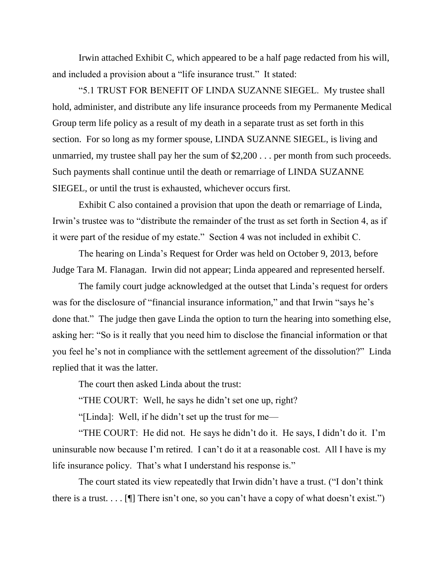Irwin attached Exhibit C, which appeared to be a half page redacted from his will, and included a provision about a "life insurance trust." It stated:

"5.1 TRUST FOR BENEFIT OF LINDA SUZANNE SIEGEL. My trustee shall hold, administer, and distribute any life insurance proceeds from my Permanente Medical Group term life policy as a result of my death in a separate trust as set forth in this section. For so long as my former spouse, LINDA SUZANNE SIEGEL, is living and unmarried, my trustee shall pay her the sum of \$2,200 . . . per month from such proceeds. Such payments shall continue until the death or remarriage of LINDA SUZANNE SIEGEL, or until the trust is exhausted, whichever occurs first.

Exhibit C also contained a provision that upon the death or remarriage of Linda, Irwin's trustee was to "distribute the remainder of the trust as set forth in Section 4, as if it were part of the residue of my estate." Section 4 was not included in exhibit C.

The hearing on Linda's Request for Order was held on October 9, 2013, before Judge Tara M. Flanagan. Irwin did not appear; Linda appeared and represented herself.

The family court judge acknowledged at the outset that Linda's request for orders was for the disclosure of "financial insurance information," and that Irwin "says he's done that." The judge then gave Linda the option to turn the hearing into something else, asking her: "So is it really that you need him to disclose the financial information or that you feel he's not in compliance with the settlement agreement of the dissolution?" Linda replied that it was the latter.

The court then asked Linda about the trust:

"THE COURT: Well, he says he didn't set one up, right?

"[Linda]: Well, if he didn't set up the trust for me—

"THE COURT: He did not. He says he didn't do it. He says, I didn't do it. I'm uninsurable now because I'm retired. I can't do it at a reasonable cost. All I have is my life insurance policy. That's what I understand his response is."

The court stated its view repeatedly that Irwin didn't have a trust. ("I don't think there is a trust.  $\ldots$  [ $\parallel$ ] There isn't one, so you can't have a copy of what doesn't exist.")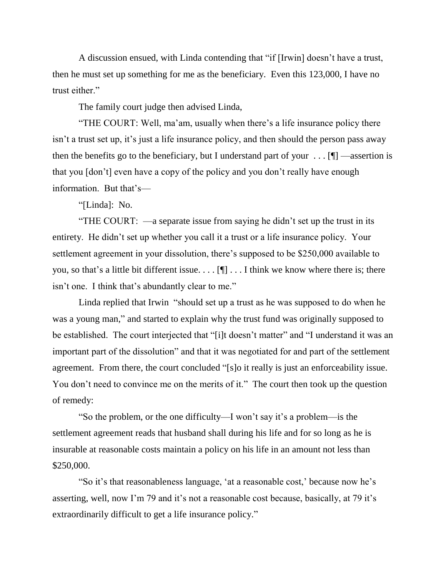A discussion ensued, with Linda contending that "if [Irwin] doesn't have a trust, then he must set up something for me as the beneficiary. Even this 123,000, I have no trust either."

The family court judge then advised Linda,

"THE COURT: Well, ma'am, usually when there's a life insurance policy there isn't a trust set up, it's just a life insurance policy, and then should the person pass away then the benefits go to the beneficiary, but I understand part of your  $\dots$  [ $\blacksquare$  —assertion is that you [don't] even have a copy of the policy and you don't really have enough information. But that's—

"[Linda]: No.

"THE COURT: —a separate issue from saying he didn't set up the trust in its entirety. He didn't set up whether you call it a trust or a life insurance policy. Your settlement agreement in your dissolution, there's supposed to be \$250,000 available to you, so that's a little bit different issue.  $\ldots$  [ $\parallel$ ]  $\ldots$  I think we know where there is; there isn't one. I think that's abundantly clear to me."

Linda replied that Irwin "should set up a trust as he was supposed to do when he was a young man," and started to explain why the trust fund was originally supposed to be established. The court interjected that "[i]t doesn't matter" and "I understand it was an important part of the dissolution" and that it was negotiated for and part of the settlement agreement. From there, the court concluded "[s]o it really is just an enforceability issue. You don't need to convince me on the merits of it." The court then took up the question of remedy:

"So the problem, or the one difficulty—I won't say it's a problem—is the settlement agreement reads that husband shall during his life and for so long as he is insurable at reasonable costs maintain a policy on his life in an amount not less than \$250,000.

"So it's that reasonableness language, 'at a reasonable cost,' because now he's asserting, well, now I'm 79 and it's not a reasonable cost because, basically, at 79 it's extraordinarily difficult to get a life insurance policy."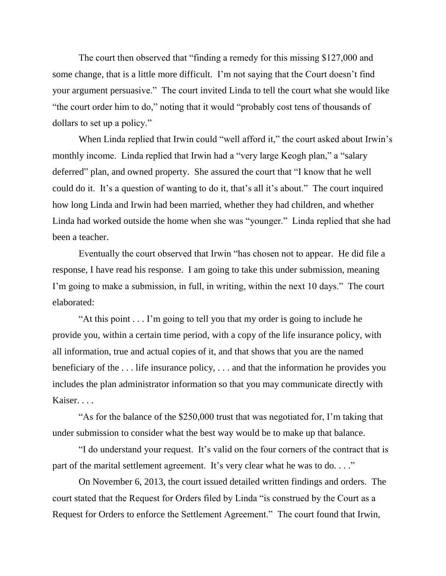The court then observed that "finding a remedy for this missing \$127,000 and some change, that is a little more difficult. I'm not saying that the Court doesn't find your argument persuasive." The court invited Linda to tell the court what she would like "the court order him to do," noting that it would "probably cost tens of thousands of dollars to set up a policy."

When Linda replied that Irwin could "well afford it," the court asked about Irwin's monthly income. Linda replied that Irwin had a "very large Keogh plan," a "salary deferred" plan, and owned property. She assured the court that "I know that he well could do it. It's a question of wanting to do it, that's all it's about." The court inquired how long Linda and Irwin had been married, whether they had children, and whether Linda had worked outside the home when she was "younger." Linda replied that she had been a teacher.

Eventually the court observed that Irwin "has chosen not to appear. He did file a response, I have read his response. I am going to take this under submission, meaning I'm going to make a submission, in full, in writing, within the next 10 days." The court elaborated:

"At this point . . . I'm going to tell you that my order is going to include he provide you, within a certain time period, with a copy of the life insurance policy, with all information, true and actual copies of it, and that shows that you are the named beneficiary of the . . . life insurance policy, . . . and that the information he provides you includes the plan administrator information so that you may communicate directly with Kaiser. . . .

"As for the balance of the \$250,000 trust that was negotiated for, I'm taking that under submission to consider what the best way would be to make up that balance.

"I do understand your request. It's valid on the four corners of the contract that is part of the marital settlement agreement. It's very clear what he was to do...."

On November 6, 2013, the court issued detailed written findings and orders. The court stated that the Request for Orders filed by Linda "is construed by the Court as a Request for Orders to enforce the Settlement Agreement." The court found that Irwin,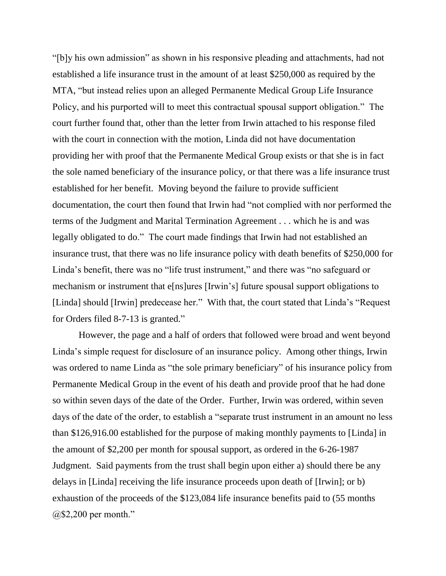"[b]y his own admission" as shown in his responsive pleading and attachments, had not established a life insurance trust in the amount of at least \$250,000 as required by the MTA, "but instead relies upon an alleged Permanente Medical Group Life Insurance Policy, and his purported will to meet this contractual spousal support obligation." The court further found that, other than the letter from Irwin attached to his response filed with the court in connection with the motion, Linda did not have documentation providing her with proof that the Permanente Medical Group exists or that she is in fact the sole named beneficiary of the insurance policy, or that there was a life insurance trust established for her benefit. Moving beyond the failure to provide sufficient documentation, the court then found that Irwin had "not complied with nor performed the terms of the Judgment and Marital Termination Agreement . . . which he is and was legally obligated to do." The court made findings that Irwin had not established an insurance trust, that there was no life insurance policy with death benefits of \$250,000 for Linda's benefit, there was no "life trust instrument," and there was "no safeguard or mechanism or instrument that e[ns]ures [Irwin's] future spousal support obligations to [Linda] should [Irwin] predecease her." With that, the court stated that Linda's "Request for Orders filed 8-7-13 is granted."

However, the page and a half of orders that followed were broad and went beyond Linda's simple request for disclosure of an insurance policy. Among other things, Irwin was ordered to name Linda as "the sole primary beneficiary" of his insurance policy from Permanente Medical Group in the event of his death and provide proof that he had done so within seven days of the date of the Order. Further, Irwin was ordered, within seven days of the date of the order, to establish a "separate trust instrument in an amount no less than \$126,916.00 established for the purpose of making monthly payments to [Linda] in the amount of \$2,200 per month for spousal support, as ordered in the 6-26-1987 Judgment. Said payments from the trust shall begin upon either a) should there be any delays in [Linda] receiving the life insurance proceeds upon death of [Irwin]; or b) exhaustion of the proceeds of the \$123,084 life insurance benefits paid to (55 months @\$2,200 per month."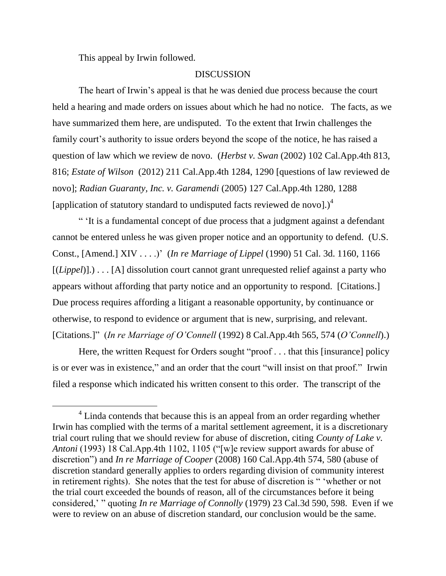This appeal by Irwin followed.

 $\overline{a}$ 

#### DISCUSSION

The heart of Irwin's appeal is that he was denied due process because the court held a hearing and made orders on issues about which he had no notice. The facts, as we have summarized them here, are undisputed. To the extent that Irwin challenges the family court's authority to issue orders beyond the scope of the notice, he has raised a question of law which we review de novo. (*Herbst v. Swan* (2002) 102 Cal.App.4th 813, 816; *Estate of Wilson* (2012) 211 Cal.App.4th 1284, 1290 [questions of law reviewed de novo]; *Radian Guaranty, Inc. v. Garamendi* (2005) 127 Cal.App.4th 1280, 1288 [application of statutory standard to undisputed facts reviewed de novo].) $<sup>4</sup>$ </sup>

" 'It is a fundamental concept of due process that a judgment against a defendant cannot be entered unless he was given proper notice and an opportunity to defend. (U.S. Const., [Amend.] XIV . . . .)' (*In re Marriage of Lippel* (1990) 51 Cal. 3d. 1160, 1166 [*(Lippel*)].) . . . [A] dissolution court cannot grant unrequested relief against a party who appears without affording that party notice and an opportunity to respond. [Citations.] Due process requires affording a litigant a reasonable opportunity, by continuance or otherwise, to respond to evidence or argument that is new, surprising, and relevant. [Citations.]" (*In re Marriage of O'Connell* (1992) 8 Cal.App.4th 565, 574 (*O'Connell*).)

Here, the written Request for Orders sought "proof . . . that this [insurance] policy is or ever was in existence," and an order that the court "will insist on that proof." Irwin filed a response which indicated his written consent to this order. The transcript of the

 $4$  Linda contends that because this is an appeal from an order regarding whether Irwin has complied with the terms of a marital settlement agreement, it is a discretionary trial court ruling that we should review for abuse of discretion, citing *County of Lake v. Antoni* (1993) 18 Cal.App.4th 1102, 1105 ("[w]e review support awards for abuse of discretion") and *In re Marriage of Cooper* (2008) 160 Cal.App.4th 574, 580 (abuse of discretion standard generally applies to orders regarding division of community interest in retirement rights). She notes that the test for abuse of discretion is " 'whether or not the trial court exceeded the bounds of reason, all of the circumstances before it being considered,' " quoting *In re Marriage of Connolly* (1979) 23 Cal.3d 590, 598. Even if we were to review on an abuse of discretion standard, our conclusion would be the same.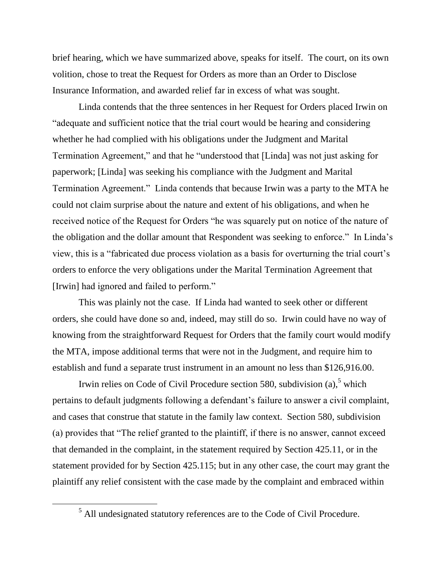brief hearing, which we have summarized above, speaks for itself. The court, on its own volition, chose to treat the Request for Orders as more than an Order to Disclose Insurance Information, and awarded relief far in excess of what was sought.

Linda contends that the three sentences in her Request for Orders placed Irwin on "adequate and sufficient notice that the trial court would be hearing and considering whether he had complied with his obligations under the Judgment and Marital Termination Agreement," and that he "understood that [Linda] was not just asking for paperwork; [Linda] was seeking his compliance with the Judgment and Marital Termination Agreement." Linda contends that because Irwin was a party to the MTA he could not claim surprise about the nature and extent of his obligations, and when he received notice of the Request for Orders "he was squarely put on notice of the nature of the obligation and the dollar amount that Respondent was seeking to enforce." In Linda's view, this is a "fabricated due process violation as a basis for overturning the trial court's orders to enforce the very obligations under the Marital Termination Agreement that [Irwin] had ignored and failed to perform."

This was plainly not the case. If Linda had wanted to seek other or different orders, she could have done so and, indeed, may still do so. Irwin could have no way of knowing from the straightforward Request for Orders that the family court would modify the MTA, impose additional terms that were not in the Judgment, and require him to establish and fund a separate trust instrument in an amount no less than \$126,916.00.

Irwin relies on Code of Civil Procedure section 580, subdivision (a),<sup>5</sup> which pertains to default judgments following a defendant's failure to answer a civil complaint, and cases that construe that statute in the family law context. Section 580, subdivision (a) provides that "The relief granted to the plaintiff, if there is no answer, cannot exceed that demanded in the complaint, in the statement required by Section 425.11, or in the statement provided for by Section 425.115; but in any other case, the court may grant the plaintiff any relief consistent with the case made by the complaint and embraced within

 $\overline{a}$ 

<sup>5</sup> All undesignated statutory references are to the Code of Civil Procedure.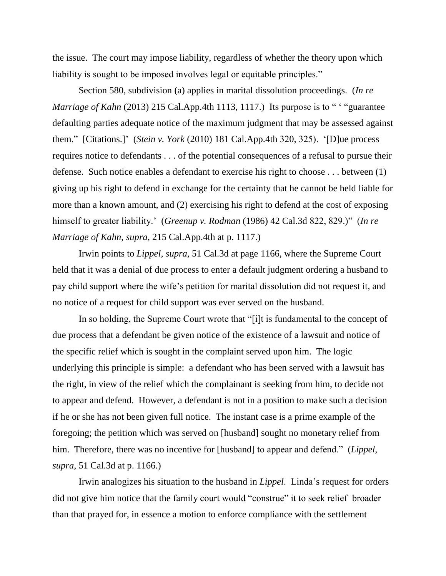the issue. The court may impose liability, regardless of whether the theory upon which liability is sought to be imposed involves legal or equitable principles."

Section 580, subdivision (a) applies in marital dissolution proceedings. (*In re Marriage of Kahn* (2013) 215 Cal.App.4th 1113, 1117.) Its purpose is to " "guarantee" defaulting parties adequate notice of the maximum judgment that may be assessed against them." [Citations.]' (*Stein v. York* (2010) 181 Cal.App.4th 320, 325). '[D]ue process requires notice to defendants . . . of the potential consequences of a refusal to pursue their defense. Such notice enables a defendant to exercise his right to choose . . . between (1) giving up his right to defend in exchange for the certainty that he cannot be held liable for more than a known amount, and (2) exercising his right to defend at the cost of exposing himself to greater liability.' (*Greenup v. Rodman* (1986) 42 Cal.3d 822, 829.)" (*In re Marriage of Kahn*, *supra*, 215 Cal.App.4th at p. 1117.)

Irwin points to *Lippel, supra,* 51 Cal.3d at page 1166, where the Supreme Court held that it was a denial of due process to enter a default judgment ordering a husband to pay child support where the wife's petition for marital dissolution did not request it, and no notice of a request for child support was ever served on the husband.

In so holding, the Supreme Court wrote that "[i]t is fundamental to the concept of due process that a defendant be given notice of the existence of a lawsuit and notice of the specific relief which is sought in the complaint served upon him. The logic underlying this principle is simple: a defendant who has been served with a lawsuit has the right, in view of the relief which the complainant is seeking from him, to decide not to appear and defend. However, a defendant is not in a position to make such a decision if he or she has not been given full notice. The instant case is a prime example of the foregoing; the petition which was served on [husband] sought no monetary relief from him. Therefore, there was no incentive for [husband] to appear and defend." (*Lippel*, *supra*, 51 Cal.3d at p. 1166.)

Irwin analogizes his situation to the husband in *Lippel*. Linda's request for orders did not give him notice that the family court would "construe" it to seek relief broader than that prayed for, in essence a motion to enforce compliance with the settlement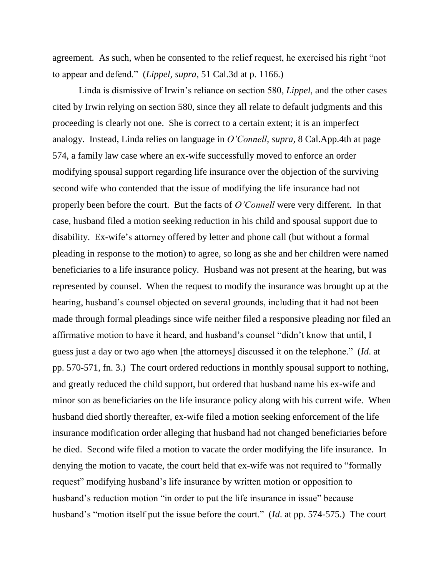agreement. As such, when he consented to the relief request, he exercised his right "not to appear and defend." (*Lippel*, *supra*, 51 Cal.3d at p. 1166.)

Linda is dismissive of Irwin's reliance on section 580, *Lippel*, and the other cases cited by Irwin relying on section 580, since they all relate to default judgments and this proceeding is clearly not one. She is correct to a certain extent; it is an imperfect analogy. Instead, Linda relies on language in *O'Connell, supra,* 8 Cal.App.4th at page 574, a family law case where an ex-wife successfully moved to enforce an order modifying spousal support regarding life insurance over the objection of the surviving second wife who contended that the issue of modifying the life insurance had not properly been before the court. But the facts of *O'Connell* were very different. In that case, husband filed a motion seeking reduction in his child and spousal support due to disability. Ex-wife's attorney offered by letter and phone call (but without a formal pleading in response to the motion) to agree, so long as she and her children were named beneficiaries to a life insurance policy. Husband was not present at the hearing, but was represented by counsel. When the request to modify the insurance was brought up at the hearing, husband's counsel objected on several grounds, including that it had not been made through formal pleadings since wife neither filed a responsive pleading nor filed an affirmative motion to have it heard, and husband's counsel "didn't know that until, I guess just a day or two ago when [the attorneys] discussed it on the telephone." (*Id*. at pp. 570-571, fn. 3.) The court ordered reductions in monthly spousal support to nothing, and greatly reduced the child support, but ordered that husband name his ex-wife and minor son as beneficiaries on the life insurance policy along with his current wife. When husband died shortly thereafter, ex-wife filed a motion seeking enforcement of the life insurance modification order alleging that husband had not changed beneficiaries before he died. Second wife filed a motion to vacate the order modifying the life insurance. In denying the motion to vacate, the court held that ex-wife was not required to "formally request" modifying husband's life insurance by written motion or opposition to husband's reduction motion "in order to put the life insurance in issue" because husband's "motion itself put the issue before the court." (*Id*. at pp. 574-575.) The court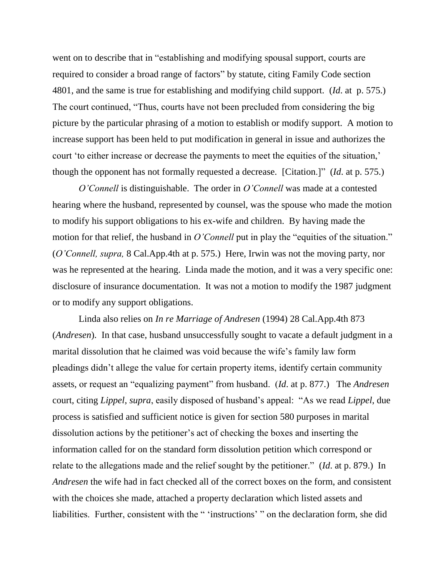went on to describe that in "establishing and modifying spousal support, courts are required to consider a broad range of factors" by statute, citing Family Code section 4801, and the same is true for establishing and modifying child support. (*Id*. at p. 575.) The court continued, "Thus, courts have not been precluded from considering the big picture by the particular phrasing of a motion to establish or modify support. A motion to increase support has been held to put modification in general in issue and authorizes the court 'to either increase or decrease the payments to meet the equities of the situation,' though the opponent has not formally requested a decrease. [Citation.]" (*Id*. at p. 575.)

*O'Connell* is distinguishable. The order in *O'Connell* was made at a contested hearing where the husband, represented by counsel, was the spouse who made the motion to modify his support obligations to his ex-wife and children. By having made the motion for that relief, the husband in *O'Connell* put in play the "equities of the situation." (*O'Connell, supra,* 8 Cal.App.4th at p. 575.) Here, Irwin was not the moving party, nor was he represented at the hearing. Linda made the motion, and it was a very specific one: disclosure of insurance documentation. It was not a motion to modify the 1987 judgment or to modify any support obligations.

Linda also relies on *In re Marriage of Andresen* (1994) 28 Cal.App.4th 873 (*Andresen*). In that case, husband unsuccessfully sought to vacate a default judgment in a marital dissolution that he claimed was void because the wife's family law form pleadings didn't allege the value for certain property items, identify certain community assets, or request an "equalizing payment" from husband. (*Id*. at p. 877.) The *Andresen* court, citing *Lippel*, *supra*, easily disposed of husband's appeal: "As we read *Lippel*, due process is satisfied and sufficient notice is given for section 580 purposes in marital dissolution actions by the petitioner's act of checking the boxes and inserting the information called for on the standard form dissolution petition which correspond or relate to the allegations made and the relief sought by the petitioner." (*Id*. at p. 879.) In *Andresen* the wife had in fact checked all of the correct boxes on the form, and consistent with the choices she made, attached a property declaration which listed assets and liabilities. Further, consistent with the " 'instructions' " on the declaration form, she did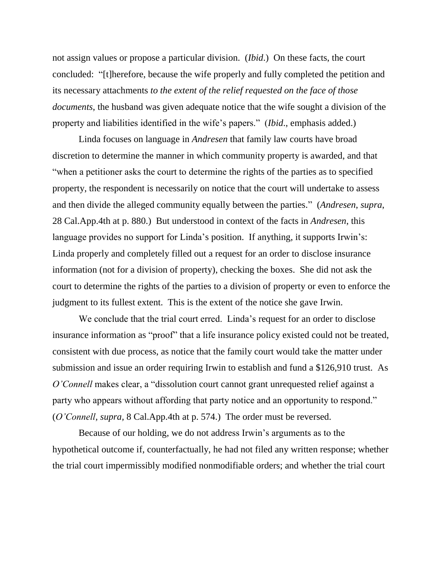not assign values or propose a particular division. (*Ibid*.) On these facts, the court concluded: "[t]herefore, because the wife properly and fully completed the petition and its necessary attachments *to the extent of the relief requested on the face of those documents*, the husband was given adequate notice that the wife sought a division of the property and liabilities identified in the wife's papers." (*Ibid*., emphasis added.)

Linda focuses on language in *Andresen* that family law courts have broad discretion to determine the manner in which community property is awarded, and that "when a petitioner asks the court to determine the rights of the parties as to specified property, the respondent is necessarily on notice that the court will undertake to assess and then divide the alleged community equally between the parties." (*Andresen*, *supra*, 28 Cal.App.4th at p. 880.) But understood in context of the facts in *Andresen*, this language provides no support for Linda's position. If anything, it supports Irwin's: Linda properly and completely filled out a request for an order to disclose insurance information (not for a division of property), checking the boxes. She did not ask the court to determine the rights of the parties to a division of property or even to enforce the judgment to its fullest extent. This is the extent of the notice she gave Irwin.

We conclude that the trial court erred. Linda's request for an order to disclose insurance information as "proof" that a life insurance policy existed could not be treated, consistent with due process, as notice that the family court would take the matter under submission and issue an order requiring Irwin to establish and fund a \$126,910 trust. As *O'Connell* makes clear, a "dissolution court cannot grant unrequested relief against a party who appears without affording that party notice and an opportunity to respond." (*O'Connell, supra,* 8 Cal.App.4th at p. 574.) The order must be reversed.

Because of our holding, we do not address Irwin's arguments as to the hypothetical outcome if, counterfactually, he had not filed any written response; whether the trial court impermissibly modified nonmodifiable orders; and whether the trial court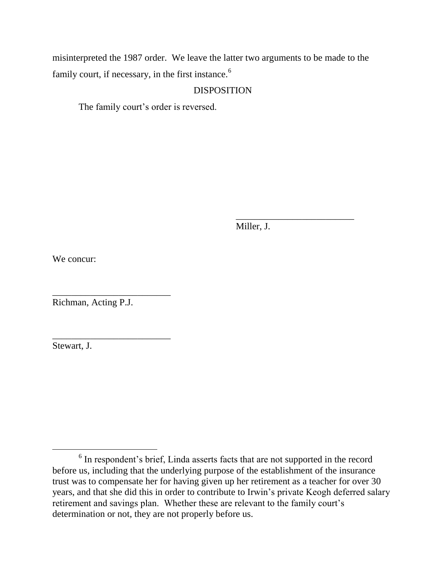misinterpreted the 1987 order. We leave the latter two arguments to be made to the family court, if necessary, in the first instance.<sup>6</sup>

#### DISPOSITION

The family court's order is reversed.

Miller, J.

\_\_\_\_\_\_\_\_\_\_\_\_\_\_\_\_\_\_\_\_\_\_\_\_\_

We concur:

Richman, Acting P.J.

\_\_\_\_\_\_\_\_\_\_\_\_\_\_\_\_\_\_\_\_\_\_\_\_\_

\_\_\_\_\_\_\_\_\_\_\_\_\_\_\_\_\_\_\_\_\_\_\_\_\_

Stewart, J.

<sup>&</sup>lt;sup>6</sup> In respondent's brief, Linda asserts facts that are not supported in the record before us, including that the underlying purpose of the establishment of the insurance trust was to compensate her for having given up her retirement as a teacher for over 30 years, and that she did this in order to contribute to Irwin's private Keogh deferred salary retirement and savings plan. Whether these are relevant to the family court's determination or not, they are not properly before us.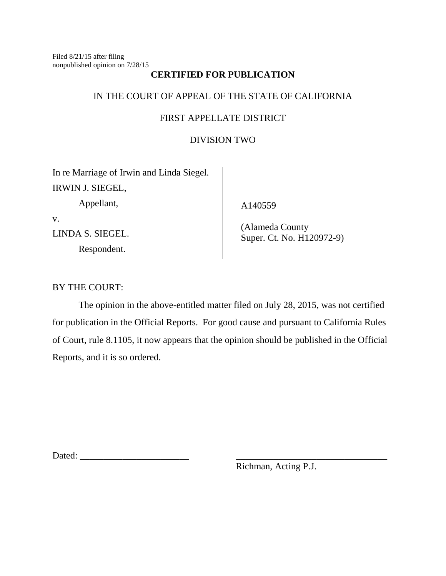Filed 8/21/15 after filing nonpublished opinion on 7/28/15

## **CERTIFIED FOR PUBLICATION**

# IN THE COURT OF APPEAL OF THE STATE OF CALIFORNIA

## FIRST APPELLATE DISTRICT

## DIVISION TWO

In re Marriage of Irwin and Linda Siegel. IRWIN J. SIEGEL,

Appellant,

v.

LINDA S. SIEGEL.

Respondent.

A140559

 (Alameda County Super. Ct. No. H120972-9)

BY THE COURT:

The opinion in the above-entitled matter filed on July 28, 2015, was not certified for publication in the Official Reports. For good cause and pursuant to California Rules of Court, rule 8.1105, it now appears that the opinion should be published in the Official Reports, and it is so ordered.

Dated: \_\_\_\_\_\_\_\_\_\_\_\_\_\_\_\_\_\_\_\_\_\_\_ \_\_\_\_\_\_\_\_\_\_\_\_\_\_\_\_\_\_\_\_\_\_\_\_\_\_\_\_\_\_\_\_

Richman, Acting P.J.